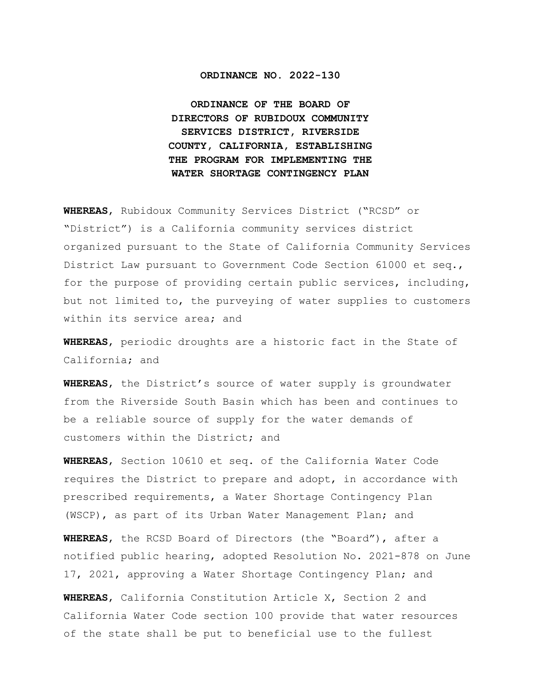### **ORDINANCE NO. 2022-130**

**ORDINANCE OF THE BOARD OF DIRECTORS OF RUBIDOUX COMMUNITY SERVICES DISTRICT, RIVERSIDE COUNTY, CALIFORNIA, ESTABLISHING THE PROGRAM FOR IMPLEMENTING THE WATER SHORTAGE CONTINGENCY PLAN**

**WHEREAS**, Rubidoux Community Services District ("RCSD" or "District") is a California community services district organized pursuant to the State of California Community Services District Law pursuant to Government Code Section 61000 et seq., for the purpose of providing certain public services, including, but not limited to, the purveying of water supplies to customers within its service area; and

**WHEREAS**, periodic droughts are a historic fact in the State of California; and

**WHEREAS**, the District's source of water supply is groundwater from the Riverside South Basin which has been and continues to be a reliable source of supply for the water demands of customers within the District; and

**WHEREAS**, Section 10610 et seq. of the California Water Code requires the District to prepare and adopt, in accordance with prescribed requirements, a Water Shortage Contingency Plan (WSCP), as part of its Urban Water Management Plan; and

**WHEREAS**, the RCSD Board of Directors (the "Board"), after a notified public hearing, adopted Resolution No. 2021-878 on June 17, 2021, approving a Water Shortage Contingency Plan; and

**WHEREAS**, California Constitution Article X, Section 2 and California Water Code section 100 provide that water resources of the state shall be put to beneficial use to the fullest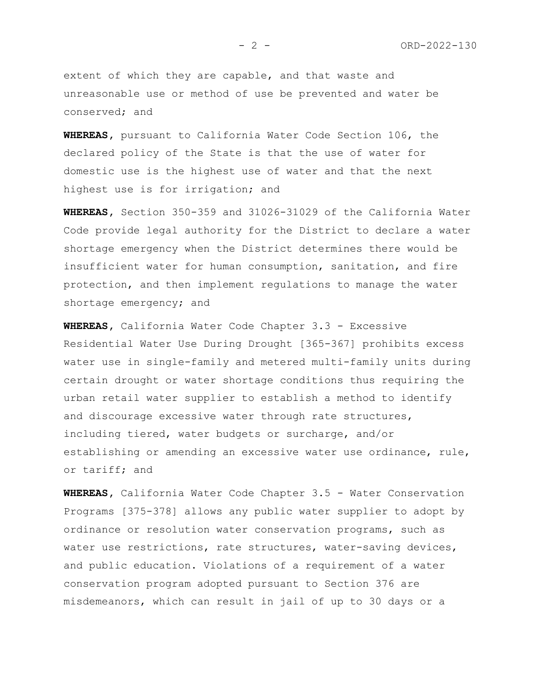extent of which they are capable, and that waste and unreasonable use or method of use be prevented and water be conserved; and

**WHEREAS,** pursuant to California Water Code Section 106, the declared policy of the State is that the use of water for domestic use is the highest use of water and that the next highest use is for irrigation; and

**WHEREAS,** Section 350-359 and 31026-31029 of the California Water Code provide legal authority for the District to declare a water shortage emergency when the District determines there would be insufficient water for human consumption, sanitation, and fire protection, and then implement regulations to manage the water shortage emergency; and

**WHEREAS,** California Water Code Chapter 3.3 - Excessive Residential Water Use During Drought [365-367] prohibits excess water use in single-family and metered multi-family units during certain drought or water shortage conditions thus requiring the urban retail water supplier to establish a method to identify and discourage excessive water through rate structures, including tiered, water budgets or surcharge, and/or establishing or amending an excessive water use ordinance, rule, or tariff; and

**WHEREAS,** California Water Code Chapter 3.5 - Water Conservation Programs [375-378] allows any public water supplier to adopt by ordinance or resolution water conservation programs, such as water use restrictions, rate structures, water-saving devices, and public education. Violations of a requirement of a water conservation program adopted pursuant to Section 376 are misdemeanors, which can result in jail of up to 30 days or a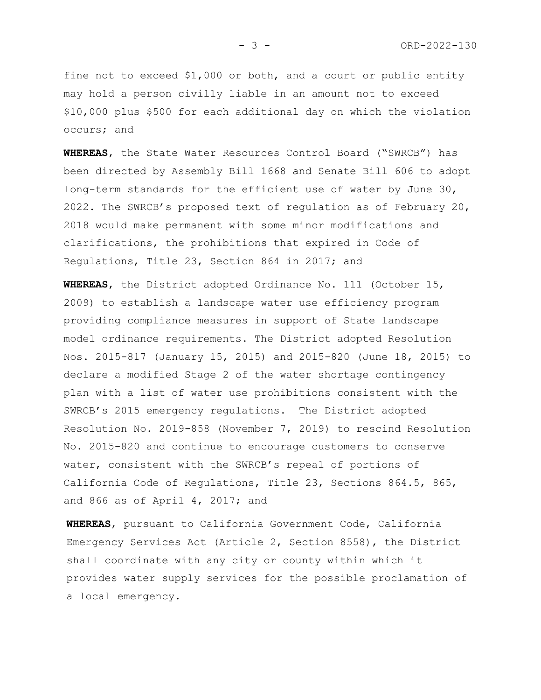fine not to exceed \$1,000 or both, and a court or public entity may hold a person civilly liable in an amount not to exceed \$10,000 plus \$500 for each additional day on which the violation occurs; and

**WHEREAS**, the State Water Resources Control Board ("SWRCB") has been directed by Assembly Bill 1668 and Senate Bill 606 to adopt long-term standards for the efficient use of water by June 30, 2022. The SWRCB's proposed text of regulation as of February 20, 2018 would make permanent with some minor modifications and clarifications, the prohibitions that expired in Code of Regulations, Title 23, Section 864 in 2017; and

**WHEREAS**, the District adopted Ordinance No. 111 (October 15, 2009) to establish a landscape water use efficiency program providing compliance measures in support of State landscape model ordinance requirements. The District adopted Resolution Nos. 2015-817 (January 15, 2015) and 2015-820 (June 18, 2015) to declare a modified Stage 2 of the water shortage contingency plan with a list of water use prohibitions consistent with the SWRCB's 2015 emergency regulations. The District adopted Resolution No. 2019-858 (November 7, 2019) to rescind Resolution No. 2015-820 and continue to encourage customers to conserve water, consistent with the SWRCB's repeal of portions of California Code of Regulations, Title 23, Sections 864.5, 865, and 866 as of April 4, 2017; and

**WHEREAS**, pursuant to California Government Code, California Emergency Services Act (Article 2, Section 8558), the District shall coordinate with any city or county within which it provides water supply services for the possible proclamation of a local emergency.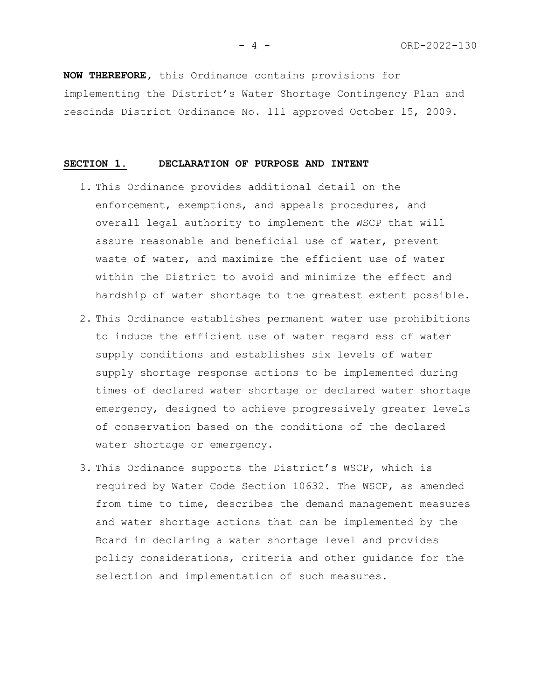**NOW THEREFORE,** this Ordinance contains provisions for implementing the District's Water Shortage Contingency Plan and rescinds District Ordinance No. 111 approved October 15, 2009.

#### **SECTION 1. DECLARATION OF PURPOSE AND INTENT**

- 1. This Ordinance provides additional detail on the enforcement, exemptions, and appeals procedures, and overall legal authority to implement the WSCP that will assure reasonable and beneficial use of water, prevent waste of water, and maximize the efficient use of water within the District to avoid and minimize the effect and hardship of water shortage to the greatest extent possible.
- 2. This Ordinance establishes permanent water use prohibitions to induce the efficient use of water regardless of water supply conditions and establishes six levels of water supply shortage response actions to be implemented during times of declared water shortage or declared water shortage emergency, designed to achieve progressively greater levels of conservation based on the conditions of the declared water shortage or emergency.
- 3. This Ordinance supports the District's WSCP, which is required by Water Code Section 10632. The WSCP, as amended from time to time, describes the demand management measures and water shortage actions that can be implemented by the Board in declaring a water shortage level and provides policy considerations, criteria and other guidance for the selection and implementation of such measures.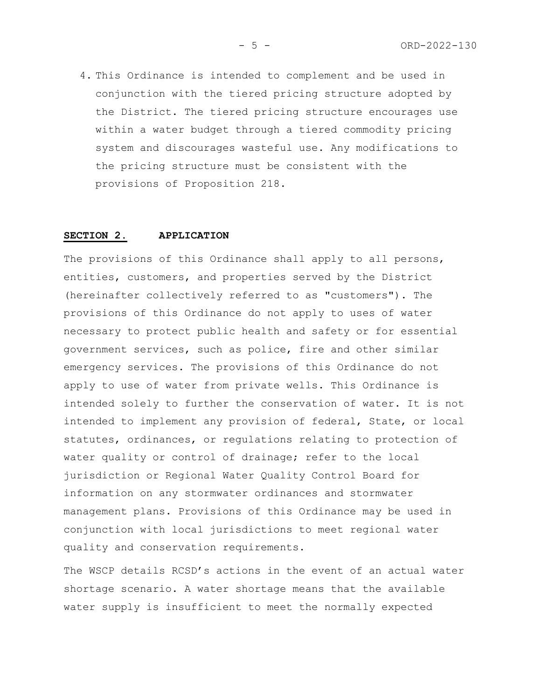4. This Ordinance is intended to complement and be used in conjunction with the tiered pricing structure adopted by the District. The tiered pricing structure encourages use within a water budget through a tiered commodity pricing system and discourages wasteful use. Any modifications to the pricing structure must be consistent with the provisions of Proposition 218.

#### **SECTION 2. APPLICATION**

The provisions of this Ordinance shall apply to all persons, entities, customers, and properties served by the District (hereinafter collectively referred to as "customers"). The provisions of this Ordinance do not apply to uses of water necessary to protect public health and safety or for essential government services, such as police, fire and other similar emergency services. The provisions of this Ordinance do not apply to use of water from private wells. This Ordinance is intended solely to further the conservation of water. It is not intended to implement any provision of federal, State, or local statutes, ordinances, or regulations relating to protection of water quality or control of drainage; refer to the local jurisdiction or Regional Water Quality Control Board for information on any stormwater ordinances and stormwater management plans. Provisions of this Ordinance may be used in conjunction with local jurisdictions to meet regional water quality and conservation requirements.

The WSCP details RCSD's actions in the event of an actual water shortage scenario. A water shortage means that the available water supply is insufficient to meet the normally expected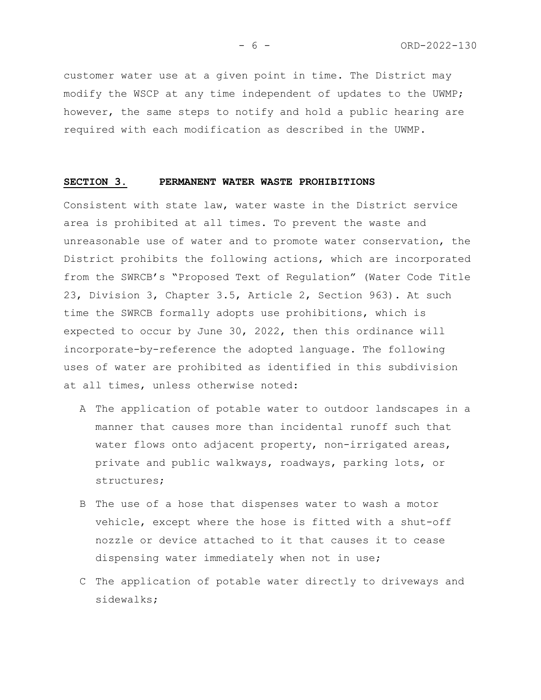customer water use at a given point in time. The District may modify the WSCP at any time independent of updates to the UWMP; however, the same steps to notify and hold a public hearing are required with each modification as described in the UWMP.

### **SECTION 3. PERMANENT WATER WASTE PROHIBITIONS**

Consistent with state law, water waste in the District service area is prohibited at all times. To prevent the waste and unreasonable use of water and to promote water conservation, the District prohibits the following actions, which are incorporated from the SWRCB's "Proposed Text of Regulation" (Water Code Title 23, Division 3, Chapter 3.5, Article 2, Section 963). At such time the SWRCB formally adopts use prohibitions, which is expected to occur by June 30, 2022, then this ordinance will incorporate-by-reference the adopted language. The following uses of water are prohibited as identified in this subdivision at all times, unless otherwise noted:

- A The application of potable water to outdoor landscapes in a manner that causes more than incidental runoff such that water flows onto adjacent property, non-irrigated areas, private and public walkways, roadways, parking lots, or structures;
- B The use of a hose that dispenses water to wash a motor vehicle, except where the hose is fitted with a shut-off nozzle or device attached to it that causes it to cease dispensing water immediately when not in use;
- C The application of potable water directly to driveways and sidewalks;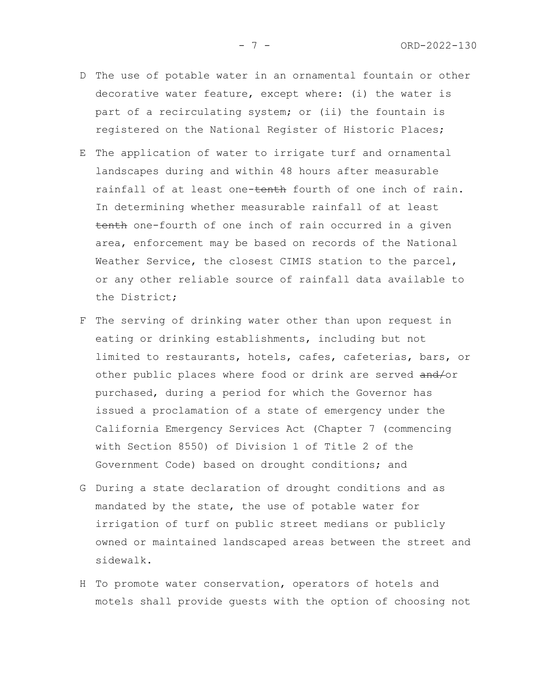- D The use of potable water in an ornamental fountain or other decorative water feature, except where: (i) the water is part of a recirculating system; or (ii) the fountain is registered on the National Register of Historic Places;
- E The application of water to irrigate turf and ornamental landscapes during and within 48 hours after measurable rainfall of at least one-tenth fourth of one inch of rain. In determining whether measurable rainfall of at least tenth one-fourth of one inch of rain occurred in a given area, enforcement may be based on records of the National Weather Service, the closest CIMIS station to the parcel, or any other reliable source of rainfall data available to the District;
- F The serving of drinking water other than upon request in eating or drinking establishments, including but not limited to restaurants, hotels, cafes, cafeterias, bars, or other public places where food or drink are served and/or purchased, during a period for which the Governor has issued a proclamation of a state of emergency under the California Emergency Services Act (Chapter 7 (commencing with Section 8550) of Division 1 of Title 2 of the Government Code) based on drought conditions; and
- G During a state declaration of drought conditions and as mandated by the state, the use of potable water for irrigation of turf on public street medians or publicly owned or maintained landscaped areas between the street and sidewalk.
- H To promote water conservation, operators of hotels and motels shall provide guests with the option of choosing not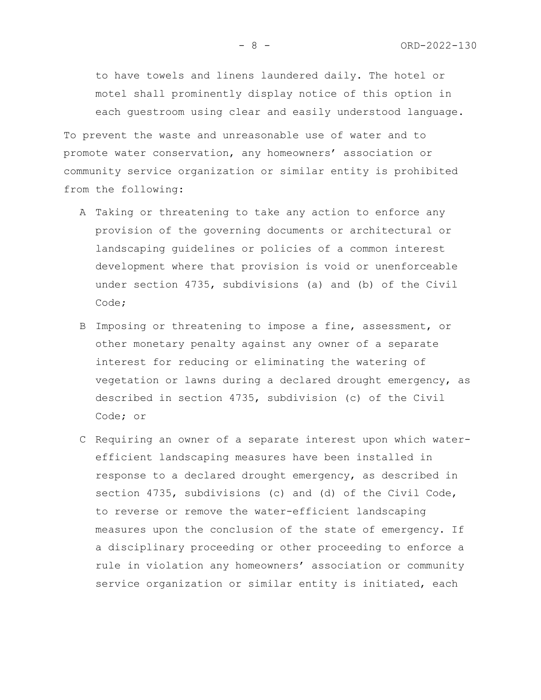to have towels and linens laundered daily. The hotel or motel shall prominently display notice of this option in each guestroom using clear and easily understood language.

To prevent the waste and unreasonable use of water and to promote water conservation, any homeowners' association or community service organization or similar entity is prohibited from the following:

- A Taking or threatening to take any action to enforce any provision of the governing documents or architectural or landscaping guidelines or policies of a common interest development where that provision is void or unenforceable under section 4735, subdivisions (a) and (b) of the Civil Code;
- B Imposing or threatening to impose a fine, assessment, or other monetary penalty against any owner of a separate interest for reducing or eliminating the watering of vegetation or lawns during a declared drought emergency, as described in section 4735, subdivision (c) of the Civil Code; or
- C Requiring an owner of a separate interest upon which waterefficient landscaping measures have been installed in response to a declared drought emergency, as described in section 4735, subdivisions (c) and (d) of the Civil Code, to reverse or remove the water-efficient landscaping measures upon the conclusion of the state of emergency. If a disciplinary proceeding or other proceeding to enforce a rule in violation any homeowners' association or community service organization or similar entity is initiated, each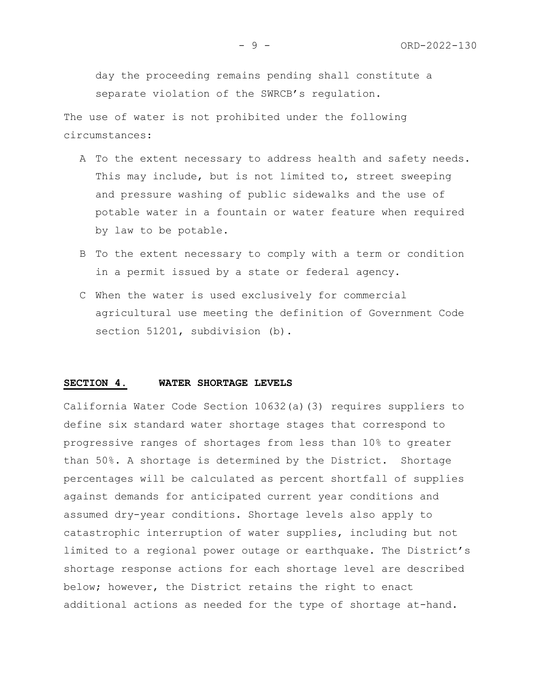day the proceeding remains pending shall constitute a separate violation of the SWRCB's regulation.

The use of water is not prohibited under the following circumstances:

- A To the extent necessary to address health and safety needs. This may include, but is not limited to, street sweeping and pressure washing of public sidewalks and the use of potable water in a fountain or water feature when required by law to be potable.
- B To the extent necessary to comply with a term or condition in a permit issued by a state or federal agency.
- C When the water is used exclusively for commercial agricultural use meeting the definition of Government Code section 51201, subdivision (b).

#### **SECTION 4. WATER SHORTAGE LEVELS**

California Water Code Section 10632(a)(3) requires suppliers to define six standard water shortage stages that correspond to progressive ranges of shortages from less than 10% to greater than 50%. A shortage is determined by the District. Shortage percentages will be calculated as percent shortfall of supplies against demands for anticipated current year conditions and assumed dry-year conditions. Shortage levels also apply to catastrophic interruption of water supplies, including but not limited to a regional power outage or earthquake. The District's shortage response actions for each shortage level are described below; however, the District retains the right to enact additional actions as needed for the type of shortage at-hand.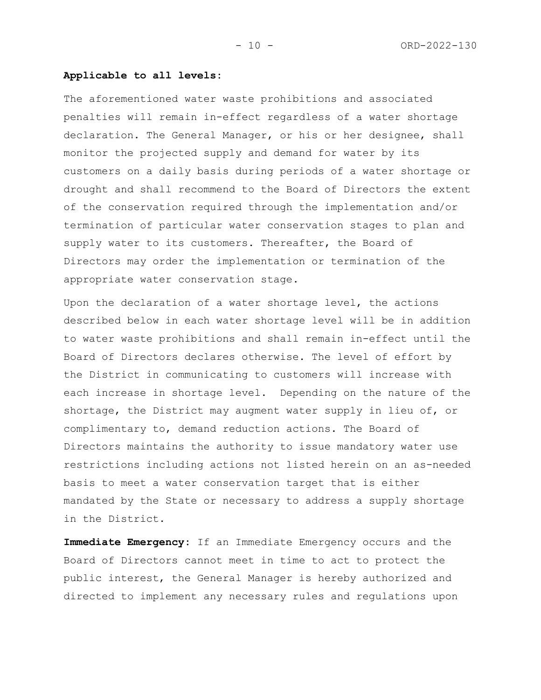# **Applicable to all levels:**

The aforementioned water waste prohibitions and associated penalties will remain in-effect regardless of a water shortage declaration. The General Manager, or his or her designee, shall monitor the projected supply and demand for water by its customers on a daily basis during periods of a water shortage or drought and shall recommend to the Board of Directors the extent of the conservation required through the implementation and/or termination of particular water conservation stages to plan and supply water to its customers. Thereafter, the Board of Directors may order the implementation or termination of the appropriate water conservation stage.

Upon the declaration of a water shortage level, the actions described below in each water shortage level will be in addition to water waste prohibitions and shall remain in-effect until the Board of Directors declares otherwise. The level of effort by the District in communicating to customers will increase with each increase in shortage level. Depending on the nature of the shortage, the District may augment water supply in lieu of, or complimentary to, demand reduction actions. The Board of Directors maintains the authority to issue mandatory water use restrictions including actions not listed herein on an as-needed basis to meet a water conservation target that is either mandated by the State or necessary to address a supply shortage in the District.

**Immediate Emergency:** If an Immediate Emergency occurs and the Board of Directors cannot meet in time to act to protect the public interest, the General Manager is hereby authorized and directed to implement any necessary rules and regulations upon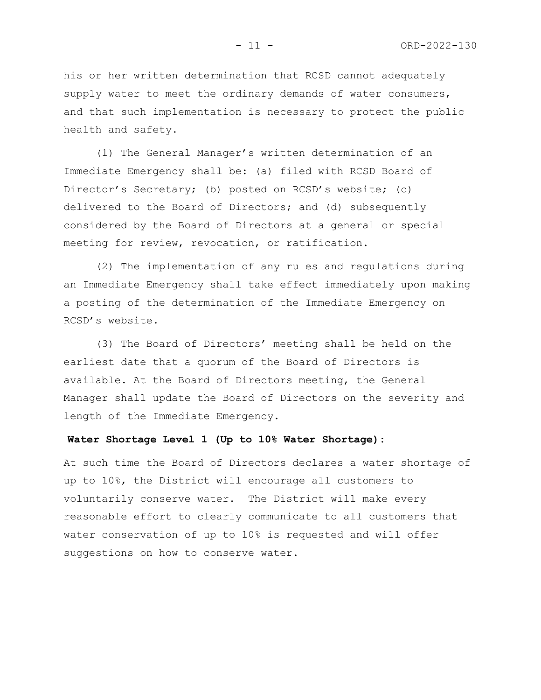his or her written determination that RCSD cannot adequately supply water to meet the ordinary demands of water consumers, and that such implementation is necessary to protect the public health and safety.

(1) The General Manager's written determination of an Immediate Emergency shall be: (a) filed with RCSD Board of Director's Secretary; (b) posted on RCSD's website; (c) delivered to the Board of Directors; and (d) subsequently considered by the Board of Directors at a general or special meeting for review, revocation, or ratification.

(2) The implementation of any rules and regulations during an Immediate Emergency shall take effect immediately upon making a posting of the determination of the Immediate Emergency on RCSD's website.

(3) The Board of Directors' meeting shall be held on the earliest date that a quorum of the Board of Directors is available. At the Board of Directors meeting, the General Manager shall update the Board of Directors on the severity and length of the Immediate Emergency.

# **Water Shortage Level 1 (Up to 10% Water Shortage):**

At such time the Board of Directors declares a water shortage of up to 10%, the District will encourage all customers to voluntarily conserve water. The District will make every reasonable effort to clearly communicate to all customers that water conservation of up to 10% is requested and will offer suggestions on how to conserve water.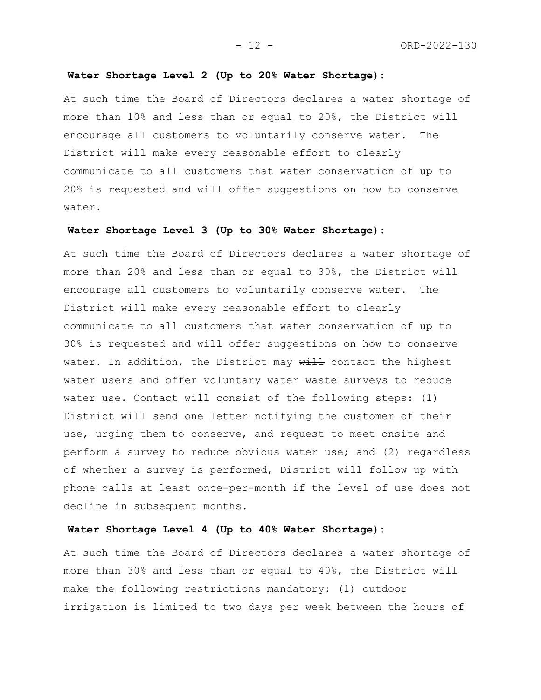# **Water Shortage Level 2 (Up to 20% Water Shortage):**

At such time the Board of Directors declares a water shortage of more than 10% and less than or equal to 20%, the District will encourage all customers to voluntarily conserve water. The District will make every reasonable effort to clearly communicate to all customers that water conservation of up to 20% is requested and will offer suggestions on how to conserve water.

# **Water Shortage Level 3 (Up to 30% Water Shortage):**

At such time the Board of Directors declares a water shortage of more than 20% and less than or equal to 30%, the District will encourage all customers to voluntarily conserve water. The District will make every reasonable effort to clearly communicate to all customers that water conservation of up to 30% is requested and will offer suggestions on how to conserve water. In addition, the District may  $\frac{1}{1}$  contact the highest water users and offer voluntary water waste surveys to reduce water use. Contact will consist of the following steps: (1) District will send one letter notifying the customer of their use, urging them to conserve, and request to meet onsite and perform a survey to reduce obvious water use; and (2) regardless of whether a survey is performed, District will follow up with phone calls at least once-per-month if the level of use does not decline in subsequent months.

# **Water Shortage Level 4 (Up to 40% Water Shortage):**

At such time the Board of Directors declares a water shortage of more than 30% and less than or equal to 40%, the District will make the following restrictions mandatory: (1) outdoor irrigation is limited to two days per week between the hours of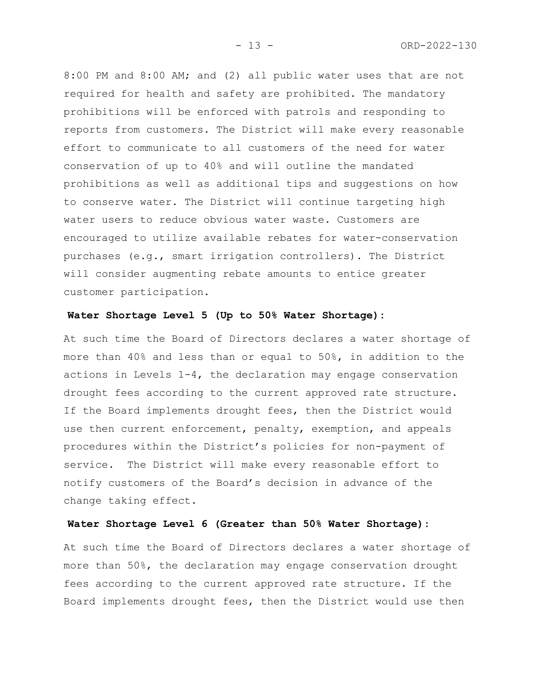8:00 PM and 8:00 AM; and (2) all public water uses that are not required for health and safety are prohibited. The mandatory prohibitions will be enforced with patrols and responding to reports from customers. The District will make every reasonable effort to communicate to all customers of the need for water conservation of up to 40% and will outline the mandated prohibitions as well as additional tips and suggestions on how to conserve water. The District will continue targeting high water users to reduce obvious water waste. Customers are encouraged to utilize available rebates for water-conservation purchases (e.g., smart irrigation controllers). The District will consider augmenting rebate amounts to entice greater customer participation.

# **Water Shortage Level 5 (Up to 50% Water Shortage):**

At such time the Board of Directors declares a water shortage of more than 40% and less than or equal to 50%, in addition to the actions in Levels 1-4, the declaration may engage conservation drought fees according to the current approved rate structure. If the Board implements drought fees, then the District would use then current enforcement, penalty, exemption, and appeals procedures within the District's policies for non-payment of service. The District will make every reasonable effort to notify customers of the Board's decision in advance of the change taking effect.

# **Water Shortage Level 6 (Greater than 50% Water Shortage):**

At such time the Board of Directors declares a water shortage of more than 50%, the declaration may engage conservation drought fees according to the current approved rate structure. If the Board implements drought fees, then the District would use then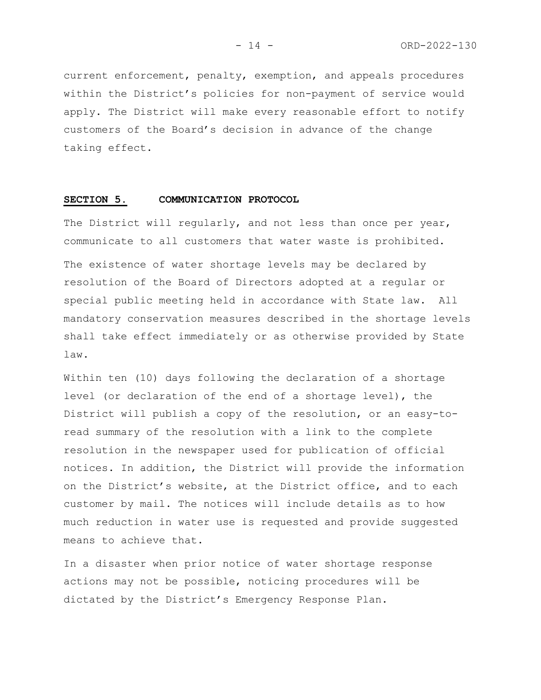current enforcement, penalty, exemption, and appeals procedures within the District's policies for non-payment of service would apply. The District will make every reasonable effort to notify customers of the Board's decision in advance of the change taking effect.

# **SECTION 5. COMMUNICATION PROTOCOL**

The District will regularly, and not less than once per year, communicate to all customers that water waste is prohibited.

The existence of water shortage levels may be declared by resolution of the Board of Directors adopted at a regular or special public meeting held in accordance with State law. All mandatory conservation measures described in the shortage levels shall take effect immediately or as otherwise provided by State law.

Within ten (10) days following the declaration of a shortage level (or declaration of the end of a shortage level), the District will publish a copy of the resolution, or an easy-toread summary of the resolution with a link to the complete resolution in the newspaper used for publication of official notices. In addition, the District will provide the information on the District's website, at the District office, and to each customer by mail. The notices will include details as to how much reduction in water use is requested and provide suggested means to achieve that.

In a disaster when prior notice of water shortage response actions may not be possible, noticing procedures will be dictated by the District's Emergency Response Plan.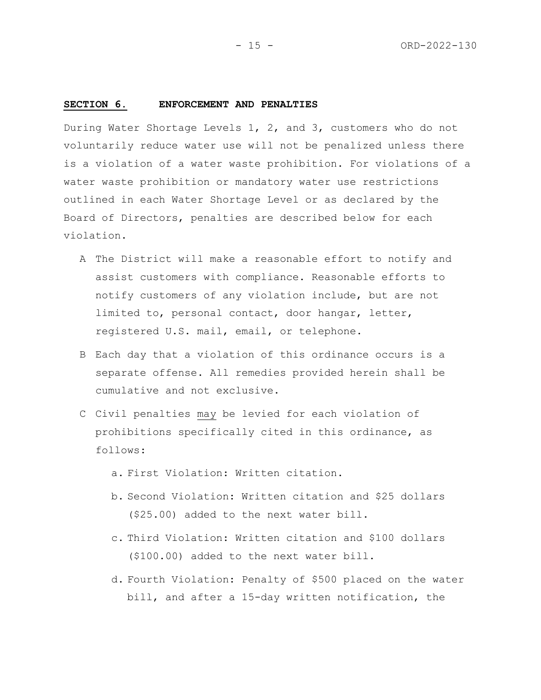#### **SECTION 6. ENFORCEMENT AND PENALTIES**

During Water Shortage Levels 1, 2, and 3, customers who do not voluntarily reduce water use will not be penalized unless there is a violation of a water waste prohibition. For violations of a water waste prohibition or mandatory water use restrictions outlined in each Water Shortage Level or as declared by the Board of Directors, penalties are described below for each violation.

- A The District will make a reasonable effort to notify and assist customers with compliance. Reasonable efforts to notify customers of any violation include, but are not limited to, personal contact, door hangar, letter, registered U.S. mail, email, or telephone.
- B Each day that a violation of this ordinance occurs is a separate offense. All remedies provided herein shall be cumulative and not exclusive.
- C Civil penalties may be levied for each violation of prohibitions specifically cited in this ordinance, as follows:
	- a. First Violation: Written citation.
	- b. Second Violation: Written citation and \$25 dollars (\$25.00) added to the next water bill.
	- c. Third Violation: Written citation and \$100 dollars (\$100.00) added to the next water bill.
	- d. Fourth Violation: Penalty of \$500 placed on the water bill, and after a 15-day written notification, the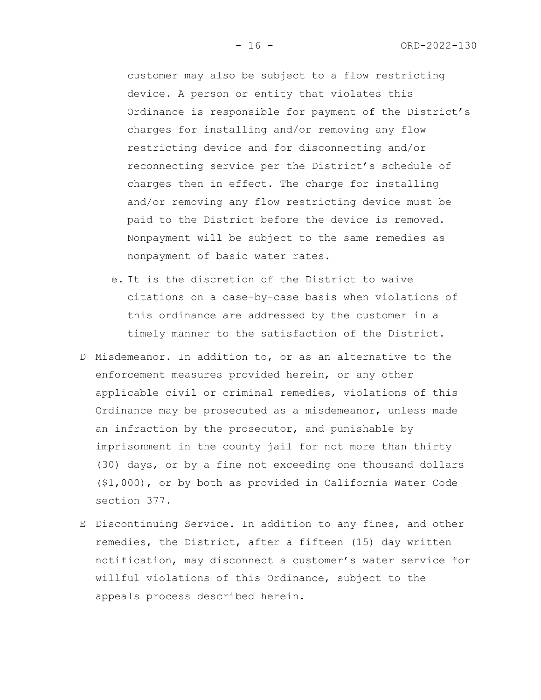customer may also be subject to a flow restricting device. A person or entity that violates this Ordinance is responsible for payment of the District's charges for installing and/or removing any flow restricting device and for disconnecting and/or reconnecting service per the District's schedule of charges then in effect. The charge for installing and/or removing any flow restricting device must be paid to the District before the device is removed. Nonpayment will be subject to the same remedies as nonpayment of basic water rates.

- e. It is the discretion of the District to waive citations on a case-by-case basis when violations of this ordinance are addressed by the customer in a timely manner to the satisfaction of the District.
- D Misdemeanor. In addition to, or as an alternative to the enforcement measures provided herein, or any other applicable civil or criminal remedies, violations of this Ordinance may be prosecuted as a misdemeanor, unless made an infraction by the prosecutor, and punishable by imprisonment in the county jail for not more than thirty (30) days, or by a fine not exceeding one thousand dollars (\$1,000), or by both as provided in California Water Code section 377.
- E Discontinuing Service. In addition to any fines, and other remedies, the District, after a fifteen (15) day written notification, may disconnect a customer's water service for willful violations of this Ordinance, subject to the appeals process described herein.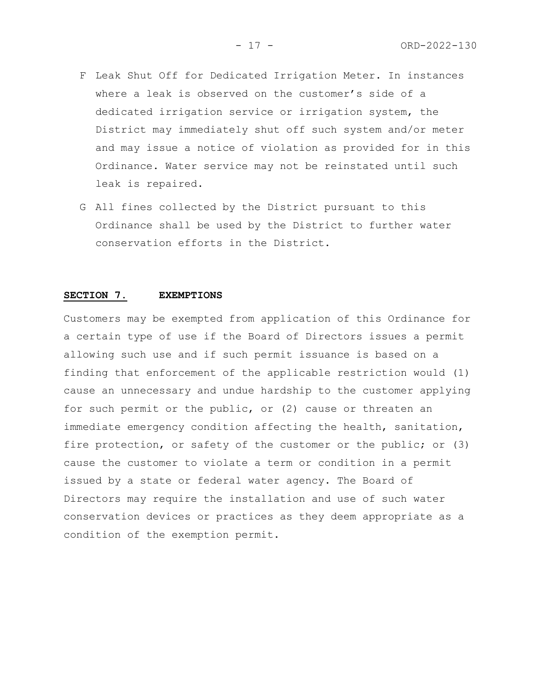- F Leak Shut Off for Dedicated Irrigation Meter. In instances where a leak is observed on the customer's side of a dedicated irrigation service or irrigation system, the District may immediately shut off such system and/or meter and may issue a notice of violation as provided for in this Ordinance. Water service may not be reinstated until such leak is repaired.
- G All fines collected by the District pursuant to this Ordinance shall be used by the District to further water conservation efforts in the District.

# **SECTION 7. EXEMPTIONS**

Customers may be exempted from application of this Ordinance for a certain type of use if the Board of Directors issues a permit allowing such use and if such permit issuance is based on a finding that enforcement of the applicable restriction would (1) cause an unnecessary and undue hardship to the customer applying for such permit or the public, or (2) cause or threaten an immediate emergency condition affecting the health, sanitation, fire protection, or safety of the customer or the public; or (3) cause the customer to violate a term or condition in a permit issued by a state or federal water agency. The Board of Directors may require the installation and use of such water conservation devices or practices as they deem appropriate as a condition of the exemption permit.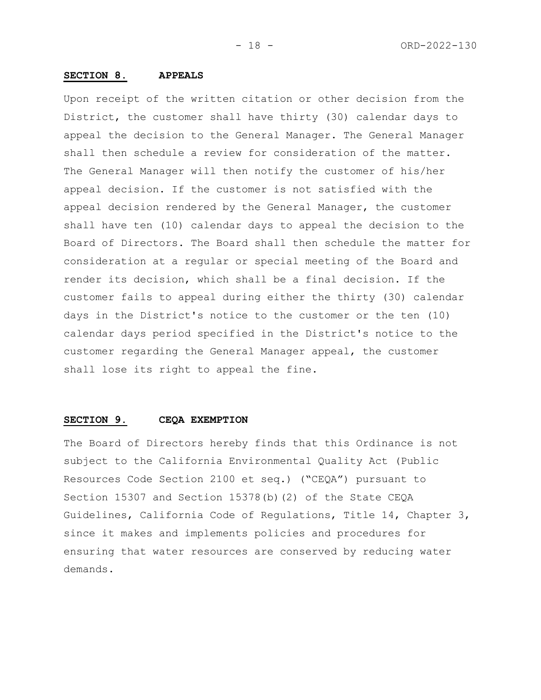# **SECTION 8. APPEALS**

Upon receipt of the written citation or other decision from the District, the customer shall have thirty (30) calendar days to appeal the decision to the General Manager. The General Manager shall then schedule a review for consideration of the matter. The General Manager will then notify the customer of his/her appeal decision. If the customer is not satisfied with the appeal decision rendered by the General Manager, the customer shall have ten (10) calendar days to appeal the decision to the Board of Directors. The Board shall then schedule the matter for consideration at a regular or special meeting of the Board and render its decision, which shall be a final decision. If the customer fails to appeal during either the thirty (30) calendar days in the District's notice to the customer or the ten (10) calendar days period specified in the District's notice to the customer regarding the General Manager appeal, the customer shall lose its right to appeal the fine.

# **SECTION 9. CEQA EXEMPTION**

The Board of Directors hereby finds that this Ordinance is not subject to the California Environmental Quality Act (Public Resources Code Section 2100 et seq.) ("CEQA") pursuant to Section 15307 and Section 15378(b)(2) of the State CEQA Guidelines, California Code of Regulations, Title 14, Chapter 3, since it makes and implements policies and procedures for ensuring that water resources are conserved by reducing water demands.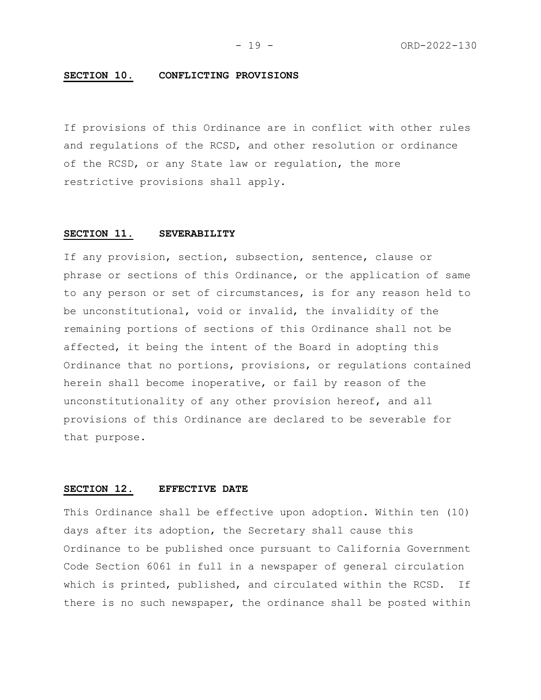# **SECTION 10. CONFLICTING PROVISIONS**

If provisions of this Ordinance are in conflict with other rules and regulations of the RCSD, and other resolution or ordinance of the RCSD, or any State law or regulation, the more restrictive provisions shall apply.

#### **SECTION 11. SEVERABILITY**

If any provision, section, subsection, sentence, clause or phrase or sections of this Ordinance, or the application of same to any person or set of circumstances, is for any reason held to be unconstitutional, void or invalid, the invalidity of the remaining portions of sections of this Ordinance shall not be affected, it being the intent of the Board in adopting this Ordinance that no portions, provisions, or regulations contained herein shall become inoperative, or fail by reason of the unconstitutionality of any other provision hereof, and all provisions of this Ordinance are declared to be severable for that purpose.

# **SECTION 12. EFFECTIVE DATE**

This Ordinance shall be effective upon adoption. Within ten (10) days after its adoption, the Secretary shall cause this Ordinance to be published once pursuant to California Government Code Section 6061 in full in a newspaper of general circulation which is printed, published, and circulated within the RCSD. If there is no such newspaper, the ordinance shall be posted within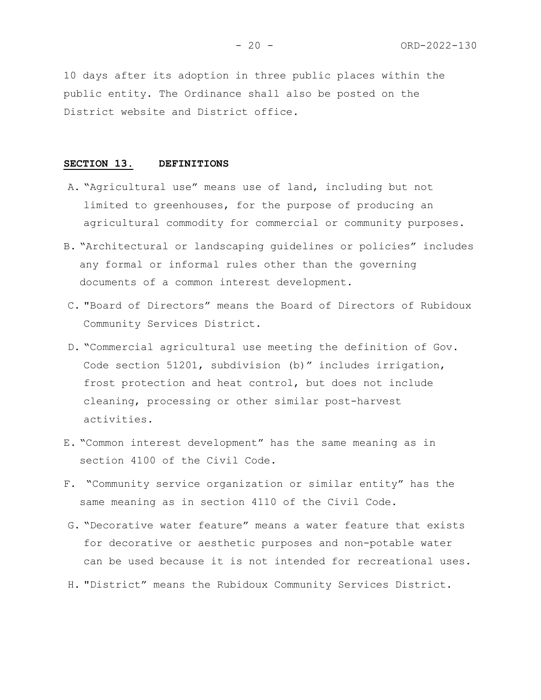10 days after its adoption in three public places within the public entity. The Ordinance shall also be posted on the District website and District office.

#### **SECTION 13. DEFINITIONS**

- A. "Agricultural use" means use of land, including but not limited to greenhouses, for the purpose of producing an agricultural commodity for commercial or community purposes.
- B. "Architectural or landscaping guidelines or policies" includes any formal or informal rules other than the governing documents of a common interest development.
- C. "Board of Directors" means the Board of Directors of Rubidoux Community Services District.
- D. "Commercial agricultural use meeting the definition of Gov. Code section 51201, subdivision (b)" includes irrigation, frost protection and heat control, but does not include cleaning, processing or other similar post-harvest activities.
- E. "Common interest development" has the same meaning as in section 4100 of the Civil Code.
- F. "Community service organization or similar entity" has the same meaning as in section 4110 of the Civil Code.
- G. "Decorative water feature" means a water feature that exists for decorative or aesthetic purposes and non-potable water can be used because it is not intended for recreational uses.
- H. "District" means the Rubidoux Community Services District.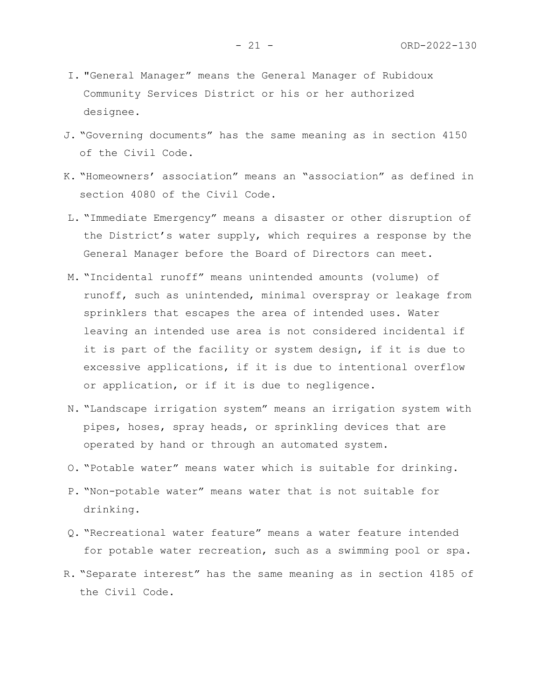- I. "General Manager" means the General Manager of Rubidoux Community Services District or his or her authorized designee.
- J. "Governing documents" has the same meaning as in section 4150 of the Civil Code.
- K. "Homeowners' association" means an "association" as defined in section 4080 of the Civil Code.
- L. "Immediate Emergency" means a disaster or other disruption of the District's water supply, which requires a response by the General Manager before the Board of Directors can meet.
- M. "Incidental runoff" means unintended amounts (volume) of runoff, such as unintended, minimal overspray or leakage from sprinklers that escapes the area of intended uses. Water leaving an intended use area is not considered incidental if it is part of the facility or system design, if it is due to excessive applications, if it is due to intentional overflow or application, or if it is due to negligence.
- N. "Landscape irrigation system" means an irrigation system with pipes, hoses, spray heads, or sprinkling devices that are operated by hand or through an automated system.
- O. "Potable water" means water which is suitable for drinking.
- P. "Non-potable water" means water that is not suitable for drinking.
- Q. "Recreational water feature" means a water feature intended for potable water recreation, such as a swimming pool or spa.
- R. "Separate interest" has the same meaning as in section 4185 of the Civil Code.